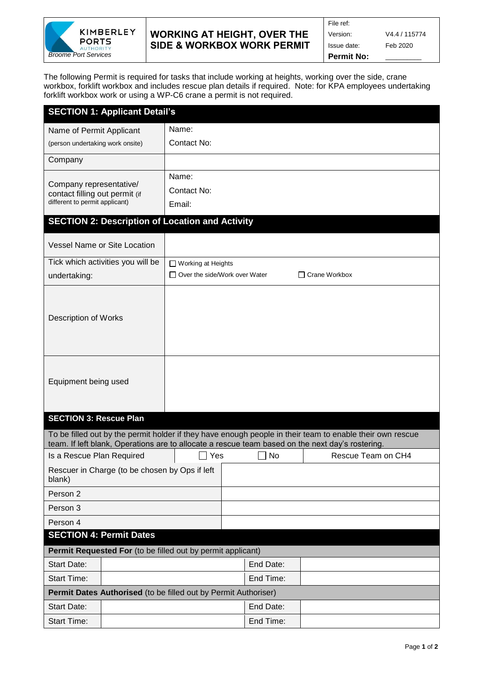

## **WORKING AT HEIGHT, OVER THE SIDE & WORKBOX WORK PERMIT**

The following Permit is required for tasks that include working at heights, working over the side, crane workbox, forklift workbox and includes rescue plan details if required. Note: for KPA employees undertaking forklift workbox work or using a WP-C6 crane a permit is not required.

| <b>SECTION 1: Applicant Detail's</b>                                                                                   |                                                         |           |  |  |  |  |  |  |  |
|------------------------------------------------------------------------------------------------------------------------|---------------------------------------------------------|-----------|--|--|--|--|--|--|--|
| Name of Permit Applicant                                                                                               | Name:                                                   |           |  |  |  |  |  |  |  |
| (person undertaking work onsite)                                                                                       | Contact No:                                             |           |  |  |  |  |  |  |  |
| Company                                                                                                                |                                                         |           |  |  |  |  |  |  |  |
|                                                                                                                        | Name:                                                   |           |  |  |  |  |  |  |  |
| Company representative/<br>contact filling out permit (if<br>different to permit applicant)                            | Contact No:                                             |           |  |  |  |  |  |  |  |
|                                                                                                                        | Email:                                                  |           |  |  |  |  |  |  |  |
|                                                                                                                        |                                                         |           |  |  |  |  |  |  |  |
| <b>SECTION 2: Description of Location and Activity</b>                                                                 |                                                         |           |  |  |  |  |  |  |  |
| <b>Vessel Name or Site Location</b>                                                                                    |                                                         |           |  |  |  |  |  |  |  |
| Tick which activities you will be                                                                                      | $\Box$ Working at Heights                               |           |  |  |  |  |  |  |  |
| undertaking:                                                                                                           | $\Box$ Over the side/Work over Water<br>□ Crane Workbox |           |  |  |  |  |  |  |  |
|                                                                                                                        |                                                         |           |  |  |  |  |  |  |  |
| <b>Description of Works</b>                                                                                            |                                                         |           |  |  |  |  |  |  |  |
|                                                                                                                        |                                                         |           |  |  |  |  |  |  |  |
|                                                                                                                        |                                                         |           |  |  |  |  |  |  |  |
|                                                                                                                        |                                                         |           |  |  |  |  |  |  |  |
|                                                                                                                        |                                                         |           |  |  |  |  |  |  |  |
| Equipment being used                                                                                                   |                                                         |           |  |  |  |  |  |  |  |
|                                                                                                                        |                                                         |           |  |  |  |  |  |  |  |
| <b>SECTION 3: Rescue Plan</b>                                                                                          |                                                         |           |  |  |  |  |  |  |  |
| To be filled out by the permit holder if they have enough people in their team to enable their own rescue              |                                                         |           |  |  |  |  |  |  |  |
| team. If left blank, Operations are to allocate a rescue team based on the next day's rostering.<br>Rescue Team on CH4 |                                                         |           |  |  |  |  |  |  |  |
| Is a Rescue Plan Required                                                                                              | Yes                                                     | <b>No</b> |  |  |  |  |  |  |  |
| Rescuer in Charge (to be chosen by Ops if left<br>blank)                                                               |                                                         |           |  |  |  |  |  |  |  |
| Person 2                                                                                                               |                                                         |           |  |  |  |  |  |  |  |
| Person 3                                                                                                               |                                                         |           |  |  |  |  |  |  |  |
| Person 4                                                                                                               |                                                         |           |  |  |  |  |  |  |  |
| <b>SECTION 4: Permit Dates</b>                                                                                         |                                                         |           |  |  |  |  |  |  |  |
| Permit Requested For (to be filled out by permit applicant)                                                            |                                                         |           |  |  |  |  |  |  |  |
| <b>Start Date:</b>                                                                                                     |                                                         | End Date: |  |  |  |  |  |  |  |
| <b>Start Time:</b>                                                                                                     |                                                         | End Time: |  |  |  |  |  |  |  |
| Permit Dates Authorised (to be filled out by Permit Authoriser)                                                        |                                                         |           |  |  |  |  |  |  |  |
| <b>Start Date:</b>                                                                                                     |                                                         | End Date: |  |  |  |  |  |  |  |
| <b>Start Time:</b>                                                                                                     |                                                         |           |  |  |  |  |  |  |  |